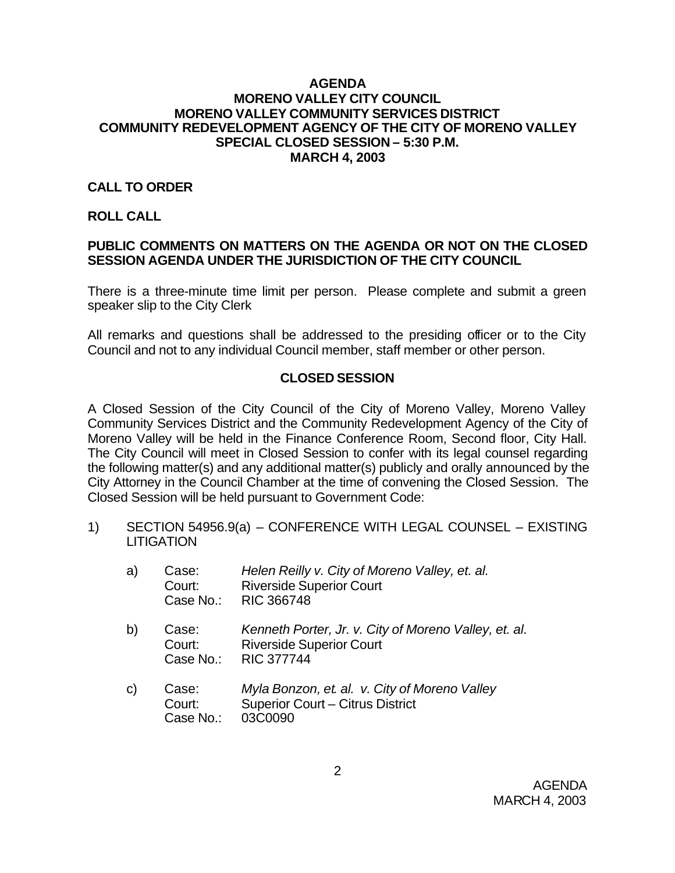#### **AGENDA MORENO VALLEY CITY COUNCIL MORENO VALLEY COMMUNITY SERVICES DISTRICT COMMUNITY REDEVELOPMENT AGENCY OF THE CITY OF MORENO VALLEY SPECIAL CLOSED SESSION – 5:30 P.M. MARCH 4, 2003**

## **CALL TO ORDER**

### **ROLL CALL**

## **PUBLIC COMMENTS ON MATTERS ON THE AGENDA OR NOT ON THE CLOSED SESSION AGENDA UNDER THE JURISDICTION OF THE CITY COUNCIL**

There is a three-minute time limit per person. Please complete and submit a green speaker slip to the City Clerk

All remarks and questions shall be addressed to the presiding officer or to the City Council and not to any individual Council member, staff member or other person.

### **CLOSED SESSION**

A Closed Session of the City Council of the City of Moreno Valley, Moreno Valley Community Services District and the Community Redevelopment Agency of the City of Moreno Valley will be held in the Finance Conference Room, Second floor, City Hall. The City Council will meet in Closed Session to confer with its legal counsel regarding the following matter(s) and any additional matter(s) publicly and orally announced by the City Attorney in the Council Chamber at the time of convening the Closed Session. The Closed Session will be held pursuant to Government Code:

1) SECTION 54956.9(a) – CONFERENCE WITH LEGAL COUNSEL – EXISTING **LITIGATION** 

| a) | Case:<br>Court:<br>Case No.: | Helen Reilly v. City of Moreno Valley, et. al.<br><b>Riverside Superior Court</b><br><b>RIC 366748</b>        |
|----|------------------------------|---------------------------------------------------------------------------------------------------------------|
| b) | Case:<br>Court:<br>Case No.: | Kenneth Porter, Jr. v. City of Moreno Valley, et. al.<br><b>Riverside Superior Court</b><br><b>RIC 377744</b> |
| C) | Case:<br>$C$ $O$ $I$         | Myla Bonzon, et. al. v. City of Moreno Valley<br>Superior Court - Citrus District                             |

Court: Superior Court – Citrus District Case No.: 03C0090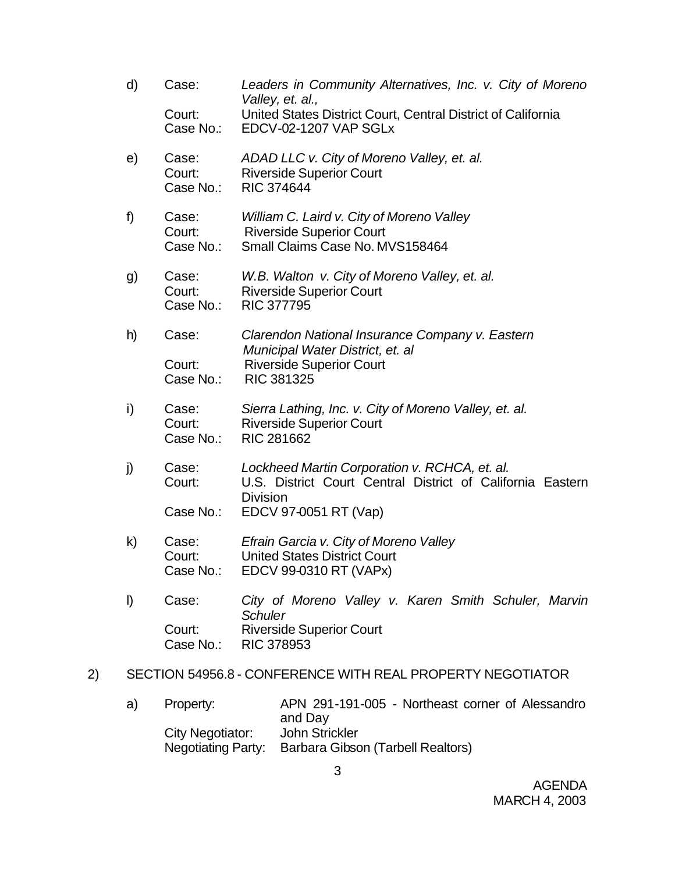- d) Case: *Leaders in Community Alternatives, Inc. v. City of Moreno Valley, et. al.,* Court: United States District Court, Central District of California<br>Case No.: EDCV-02-1207 VAP SGLx EDCV-02-1207 VAP SGLx e) Case: *ADAD LLC v. City of Moreno Valley, et. al.* Court: Riverside Superior Court Case No.: RIC 374644 f) Case: *William C. Laird v. City of Moreno Valley* Court: Riverside Superior Court Case No.: Small Claims Case No. MVS158464 g) Case: *W.B. Walton v. City of Moreno Valley, et. al.* Court: Riverside Superior Court Case No.: RIC 377795 h) Case: *Clarendon National Insurance Company v. Eastern Municipal Water District, et. al* Court: Riverside Superior Court Case No.: RIC 381325 i) Case: *Sierra Lathing, Inc. v. City of Moreno Valley, et. al.* Court: Riverside Superior Court Case No.: RIC 281662 j) Case: *Lockheed Martin Corporation v. RCHCA, et. al.* Court: U.S. District Court Central District of California Eastern Division Case No.: EDCV 97-0051 RT (Vap) k) Case: *Efrain Garcia v. City of Moreno Valley* Court: United States District Court Case No.: EDCV 99-0310 RT (VAPx) l) Case: *City of Moreno Valley v. Karen Smith Schuler, Marvin Schuler*
	- Court: Riverside Superior Court Case No.: RIC 378953

### 2) SECTION 54956.8 - CONFERENCE WITH REAL PROPERTY NEGOTIATOR

a) Property: APN 291-191-005 - Northeast corner of Alessandro and Day City Negotiator: John Strickler Negotiating Party: Barbara Gibson (Tarbell Realtors)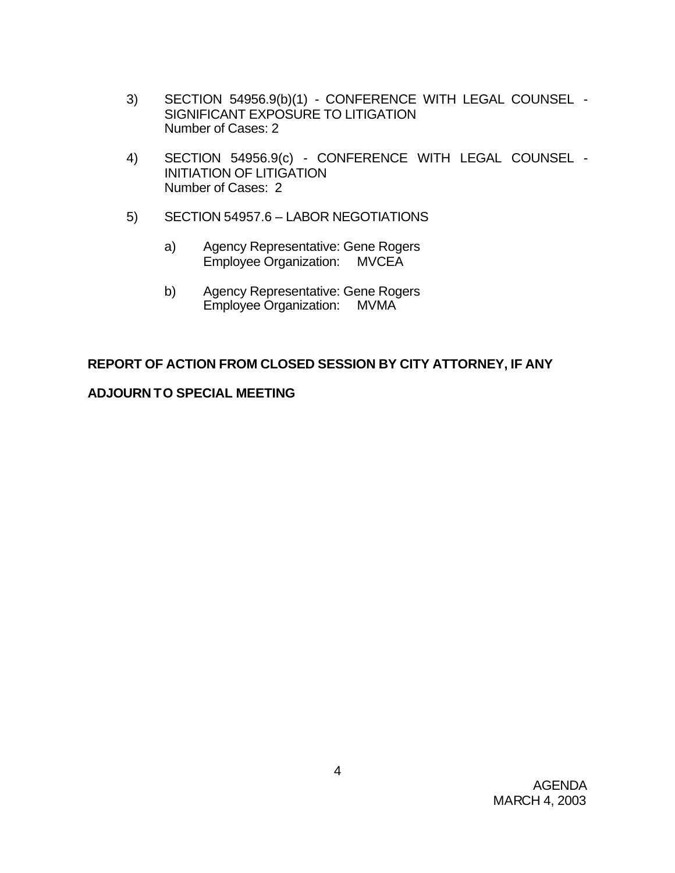- 3) SECTION 54956.9(b)(1) CONFERENCE WITH LEGAL COUNSEL SIGNIFICANT EXPOSURE TO LITIGATION Number of Cases: 2
- 4) SECTION 54956.9(c) CONFERENCE WITH LEGAL COUNSEL INITIATION OF LITIGATION Number of Cases: 2
- 5) SECTION 54957.6 LABOR NEGOTIATIONS
	- a) Agency Representative: Gene Rogers Employee Organization: MVCEA
	- b) Agency Representative: Gene Rogers Employee Organization: MVMA

# **REPORT OF ACTION FROM CLOSED SESSION BY CITY ATTORNEY, IF ANY**

# **ADJOURN TO SPECIAL MEETING**